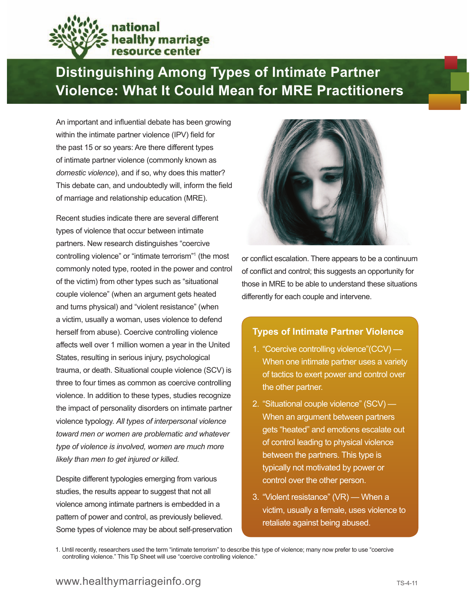

## **Distinguishing Among Types of Intimate Partner Violence: What It Could Mean for MRE Practitioners**

An important and influential debate has been growing within the intimate partner violence (IPV) field for the past 15 or so years: Are there different types of intimate partner violence (commonly known as *domestic violence*), and if so, why does this matter? This debate can, and undoubtedly will, inform the field of marriage and relationship education (MRE).

Recent studies indicate there are several different types of violence that occur between intimate partners. New research distinguishes "coercive controlling violence" or "intimate terrorism"1 (the most commonly noted type, rooted in the power and control of the victim) from other types such as "situational couple violence" (when an argument gets heated and turns physical) and "violent resistance" (when a victim, usually a woman, uses violence to defend herself from abuse). Coercive controlling violence affects well over 1 million women a year in the United States, resulting in serious injury, psychological trauma, or death. Situational couple violence (SCV) is three to four times as common as coercive controlling violence. In addition to these types, studies recognize the impact of personality disorders on intimate partner violence typology. *All types of interpersonal violence toward men or women are problematic and whatever type of violence is involved, women are much more likely than men to get injured or killed.*

Despite different typologies emerging from various studies, the results appear to suggest that not all violence among intimate partners is embedded in a pattern of power and control, as previously believed. Some types of violence may be about self-preservation



or conflict escalation. There appears to be a continuum of conflict and control; this suggests an opportunity for those in MRE to be able to understand these situations differently for each couple and intervene.

## **Types of Intimate Partner Violence**

- 1. "Coercive controlling violence"(CCV) When one intimate partner uses a variety of tactics to exert power and control over the other partner.
- 2. "Situational couple violence" (SCV) When an argument between partners gets "heated" and emotions escalate out of control leading to physical violence between the partners. This type is typically not motivated by power or control over the other person.
- 3. "Violent resistance" (VR) When a victim, usually a female, uses violence to retaliate against being abused.

<sup>1.</sup> Until recently, researchers used the term "intimate terrorism" to describe this type of violence; many now prefer to use "coercive controlling violence." This Tip Sheet will use "coercive controlling violence."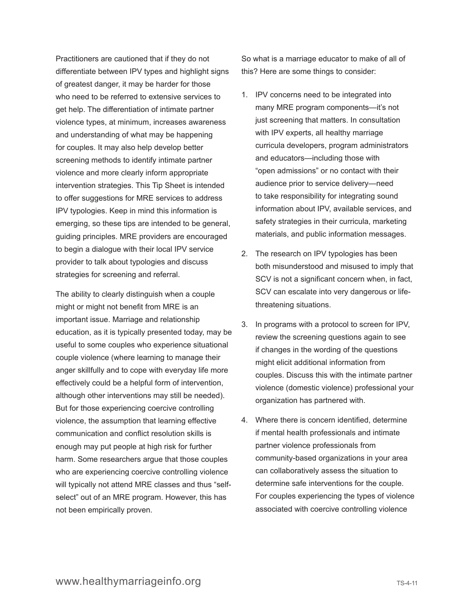Practitioners are cautioned that if they do not differentiate between IPV types and highlight signs of greatest danger, it may be harder for those who need to be referred to extensive services to get help. The differentiation of intimate partner violence types, at minimum, increases awareness and understanding of what may be happening for couples. It may also help develop better screening methods to identify intimate partner violence and more clearly inform appropriate intervention strategies. This Tip Sheet is intended to offer suggestions for MRE services to address IPV typologies. Keep in mind this information is emerging, so these tips are intended to be general, guiding principles. MRE providers are encouraged to begin a dialogue with their local IPV service provider to talk about typologies and discuss strategies for screening and referral.

The ability to clearly distinguish when a couple might or might not benefit from MRE is an important issue. Marriage and relationship education, as it is typically presented today, may be useful to some couples who experience situational couple violence (where learning to manage their anger skillfully and to cope with everyday life more effectively could be a helpful form of intervention, although other interventions may still be needed). But for those experiencing coercive controlling violence, the assumption that learning effective communication and conflict resolution skills is enough may put people at high risk for further harm. Some researchers argue that those couples who are experiencing coercive controlling violence will typically not attend MRE classes and thus "selfselect" out of an MRE program. However, this has not been empirically proven.

So what is a marriage educator to make of all of this? Here are some things to consider:

- 1. IPV concerns need to be integrated into many MRE program components—it's not just screening that matters. In consultation with IPV experts, all healthy marriage curricula developers, program administrators and educators—including those with "open admissions" or no contact with their audience prior to service delivery—need to take responsibility for integrating sound information about IPV, available services, and safety strategies in their curricula, marketing materials, and public information messages.
- 2. The research on IPV typologies has been both misunderstood and misused to imply that SCV is not a significant concern when, in fact, SCV can escalate into very dangerous or lifethreatening situations.
- 3. In programs with a protocol to screen for IPV, review the screening questions again to see if changes in the wording of the questions might elicit additional information from couples. Discuss this with the intimate partner violence (domestic violence) professional your organization has partnered with.
- 4. Where there is concern identified, determine if mental health professionals and intimate partner violence professionals from community-based organizations in your area can collaboratively assess the situation to determine safe interventions for the couple. For couples experiencing the types of violence associated with coercive controlling violence